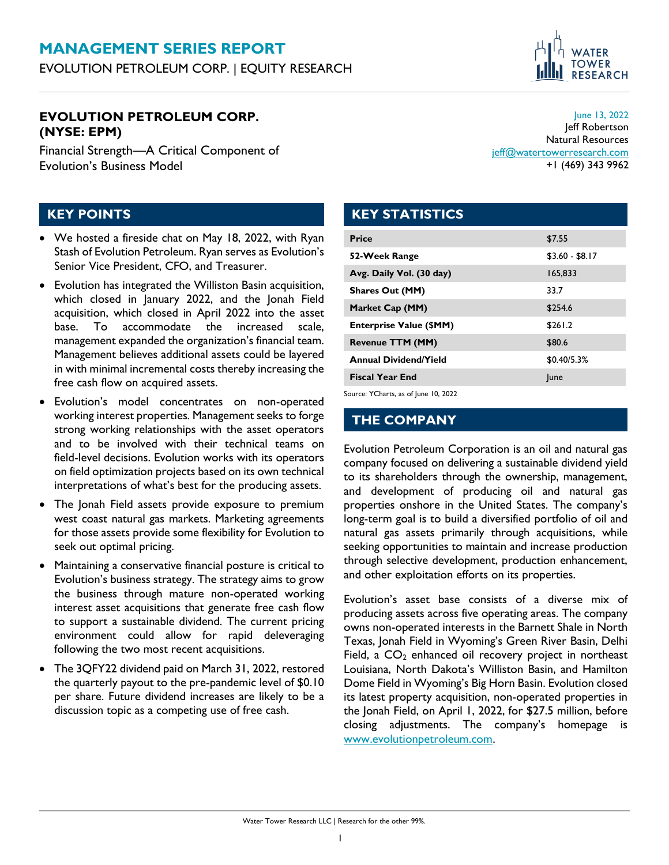

#### **EVOLUTION PETROLEUM CORP. (NYSE: EPM)**

Financial Strength—A Critical Component of Evolution's Business Model

June 13, 2022 Jeff Robertson Natural Resources [jeff@watertowerresearch.com](mailto:jeff@watertowerresearch.com) +1 (469) 343 9962

## **KEY POINTS**

- We hosted a fireside chat on May 18, 2022, with Ryan Stash of Evolution Petroleum. Ryan serves as Evolution's Senior Vice President, CFO, and Treasurer.
- Evolution has integrated the Williston Basin acquisition, which closed in January 2022, and the Jonah Field acquisition, which closed in April 2022 into the asset base. To accommodate the increased scale, management expanded the organization's financial team. Management believes additional assets could be layered in with minimal incremental costs thereby increasing the free cash flow on acquired assets.
- Evolution's model concentrates on non-operated working interest properties. Management seeks to forge strong working relationships with the asset operators and to be involved with their technical teams on field-level decisions. Evolution works with its operators on field optimization projects based on its own technical interpretations of what's best for the producing assets.
- The Jonah Field assets provide exposure to premium west coast natural gas markets. Marketing agreements for those assets provide some flexibility for Evolution to seek out optimal pricing.
- Maintaining a conservative financial posture is critical to Evolution's business strategy. The strategy aims to grow the business through mature non-operated working interest asset acquisitions that generate free cash flow to support a sustainable dividend. The current pricing environment could allow for rapid deleveraging following the two most recent acquisitions.
- The 3QFY22 dividend paid on March 31, 2022, restored the quarterly payout to the pre-pandemic level of \$0.10 per share. Future dividend increases are likely to be a discussion topic as a competing use of free cash.

## **KEY STATISTICS**

| <b>Price</b>                   | \$7.55          |
|--------------------------------|-----------------|
| 52-Week Range                  | $$3.60 - $8.17$ |
| Avg. Daily Vol. (30 day)       | 165,833         |
| <b>Shares Out (MM)</b>         | 33.7            |
| Market Cap (MM)                | \$254.6         |
| <b>Enterprise Value (\$MM)</b> | \$261.2         |
| <b>Revenue TTM (MM)</b>        | \$80.6          |
| <b>Annual Dividend/Yield</b>   | \$0.40/5.3%     |
| <b>Fiscal Year End</b>         | June            |
|                                |                 |

Source: YCharts, as of June 10, 2022

#### **THE COMPANY**

Evolution Petroleum Corporation is an oil and natural gas company focused on delivering a sustainable dividend yield to its shareholders through the ownership, management, and development of producing oil and natural gas properties onshore in the United States. The company's long-term goal is to build a diversified portfolio of oil and natural gas assets primarily through acquisitions, while seeking opportunities to maintain and increase production through selective development, production enhancement, and other exploitation efforts on its properties.

Evolution's asset base consists of a diverse mix of producing assets across five operating areas. The company owns non-operated interests in the Barnett Shale in North Texas, Jonah Field in Wyoming's Green River Basin, Delhi Field, a  $CO<sub>2</sub>$  enhanced oil recovery project in northeast Louisiana, North Dakota's Williston Basin, and Hamilton Dome Field in Wyoming's Big Horn Basin. Evolution closed its latest property acquisition, non-operated properties in the Jonah Field, on April 1, 2022, for \$27.5 million, before closing adjustments. The company's homepage is [www.evolutionpetroleum.com.](https://www.evolutionpetroleum.com/)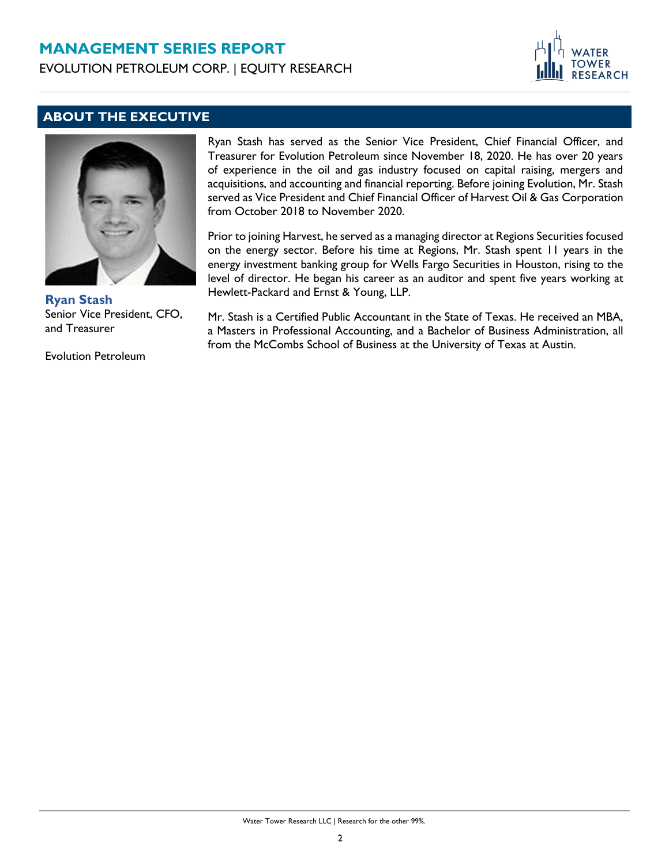## **MANAGEMENT SERIES REPORT**

EVOLUTION PETROLEUM CORP. | EQUITY RESEARCH



## **ABOUT THE EXECUTIVE**



**Ryan Stash** Senior Vice President, CFO, and Treasurer

Evolution Petroleum

Ryan Stash has served as the Senior Vice President, Chief Financial Officer, and Treasurer for Evolution Petroleum since November 18, 2020. He has over 20 years of experience in the oil and gas industry focused on capital raising, mergers and acquisitions, and accounting and financial reporting. Before joining Evolution, Mr. Stash served as Vice President and Chief Financial Officer of Harvest Oil & Gas Corporation from October 2018 to November 2020.

Prior to joining Harvest, he served as a managing director at Regions Securities focused on the energy sector. Before his time at Regions, Mr. Stash spent 11 years in the energy investment banking group for Wells Fargo Securities in Houston, rising to the level of director. He began his career as an auditor and spent five years working at Hewlett-Packard and Ernst & Young, LLP.

Mr. Stash is a Certified Public Accountant in the State of Texas. He received an MBA, a Masters in Professional Accounting, and a Bachelor of Business Administration, all from the McCombs School of Business at the University of Texas at Austin.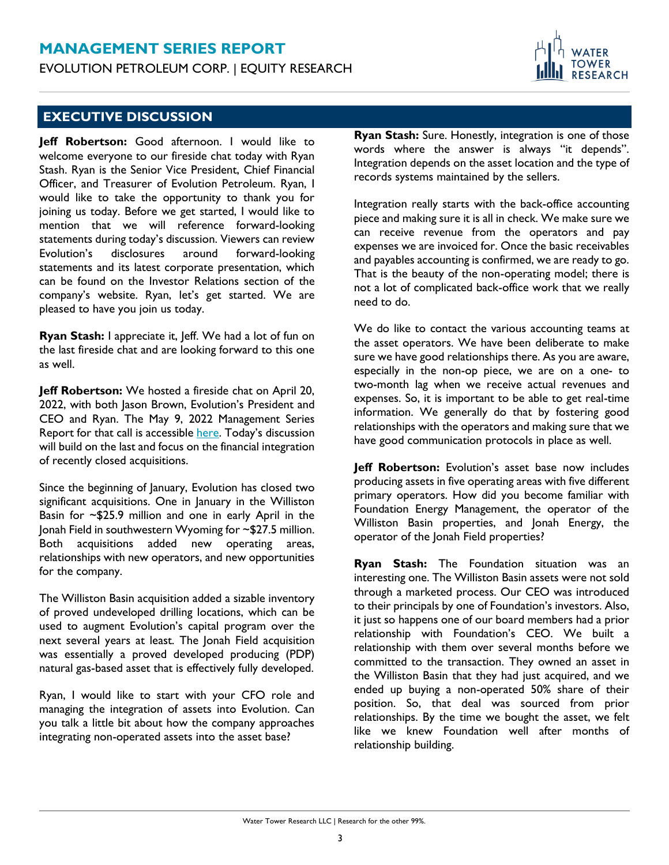## **MANAGEMENT SERIES REPORT** EVOLUTION PETROLEUM CORP. | EQUITY RESEARCH



### **EXECUTIVE DISCUSSION**

**Jeff Robertson:** Good afternoon. I would like to welcome everyone to our fireside chat today with Ryan Stash. Ryan is the Senior Vice President, Chief Financial Officer, and Treasurer of Evolution Petroleum. Ryan, I would like to take the opportunity to thank you for joining us today. Before we get started, I would like to mention that we will reference forward-looking statements during today's discussion. Viewers can review Evolution's disclosures around forward-looking statements and its latest corporate presentation, which can be found on the Investor Relations section of the company's website. Ryan, let's get started. We are pleased to have you join us today.

**Ryan Stash:** I appreciate it, Jeff. We had a lot of fun on the last fireside chat and are looking forward to this one as well.

**Jeff Robertson:** We hosted a fireside chat on April 20, 2022, with both Jason Brown, Evolution's President and CEO and Ryan. The May 9, 2022 Management Series Report for that call is accessible [here](https://www.watertowerresearch.com/content/acquisitions-support-dividend-visibility). Today's discussion will build on the last and focus on the financial integration of recently closed acquisitions.

Since the beginning of January, Evolution has closed two significant acquisitions. One in January in the Williston Basin for ~\$25.9 million and one in early April in the Jonah Field in southwestern Wyoming for ~\$27.5 million. Both acquisitions added new operating areas, relationships with new operators, and new opportunities for the company.

The Williston Basin acquisition added a sizable inventory of proved undeveloped drilling locations, which can be used to augment Evolution's capital program over the next several years at least. The Jonah Field acquisition was essentially a proved developed producing (PDP) natural gas-based asset that is effectively fully developed.

Ryan, I would like to start with your CFO role and managing the integration of assets into Evolution. Can you talk a little bit about how the company approaches integrating non-operated assets into the asset base?

**Ryan Stash:** Sure. Honestly, integration is one of those words where the answer is always "it depends". Integration depends on the asset location and the type of records systems maintained by the sellers.

Integration really starts with the back-office accounting piece and making sure it is all in check. We make sure we can receive revenue from the operators and pay expenses we are invoiced for. Once the basic receivables and payables accounting is confirmed, we are ready to go. That is the beauty of the non-operating model; there is not a lot of complicated back-office work that we really need to do.

We do like to contact the various accounting teams at the asset operators. We have been deliberate to make sure we have good relationships there. As you are aware, especially in the non-op piece, we are on a one- to two-month lag when we receive actual revenues and expenses. So, it is important to be able to get real-time information. We generally do that by fostering good relationships with the operators and making sure that we have good communication protocols in place as well.

**Jeff Robertson:** Evolution's asset base now includes producing assets in five operating areas with five different primary operators. How did you become familiar with Foundation Energy Management, the operator of the Williston Basin properties, and Jonah Energy, the operator of the Jonah Field properties?

**Ryan Stash:** The Foundation situation was an interesting one. The Williston Basin assets were not sold through a marketed process. Our CEO was introduced to their principals by one of Foundation's investors. Also, it just so happens one of our board members had a prior relationship with Foundation's CEO. We built a relationship with them over several months before we committed to the transaction. They owned an asset in the Williston Basin that they had just acquired, and we ended up buying a non-operated 50% share of their position. So, that deal was sourced from prior relationships. By the time we bought the asset, we felt like we knew Foundation well after months of relationship building.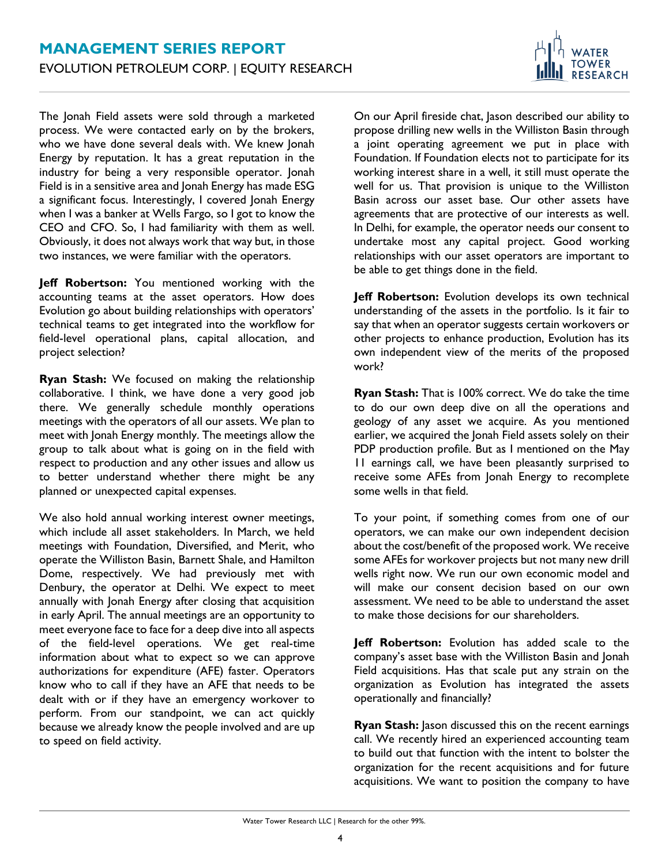The Jonah Field assets were sold through a marketed process. We were contacted early on by the brokers, who we have done several deals with. We knew Jonah Energy by reputation. It has a great reputation in the industry for being a very responsible operator. Jonah Field is in a sensitive area and Jonah Energy has made ESG a significant focus. Interestingly, I covered Jonah Energy when I was a banker at Wells Fargo, so I got to know the CEO and CFO. So, I had familiarity with them as well. Obviously, it does not always work that way but, in those two instances, we were familiar with the operators.

**Jeff Robertson:** You mentioned working with the accounting teams at the asset operators. How does Evolution go about building relationships with operators' technical teams to get integrated into the workflow for field-level operational plans, capital allocation, and project selection?

**Ryan Stash:** We focused on making the relationship collaborative. I think, we have done a very good job there. We generally schedule monthly operations meetings with the operators of all our assets. We plan to meet with Jonah Energy monthly. The meetings allow the group to talk about what is going on in the field with respect to production and any other issues and allow us to better understand whether there might be any planned or unexpected capital expenses.

We also hold annual working interest owner meetings, which include all asset stakeholders. In March, we held meetings with Foundation, Diversified, and Merit, who operate the Williston Basin, Barnett Shale, and Hamilton Dome, respectively. We had previously met with Denbury, the operator at Delhi. We expect to meet annually with Jonah Energy after closing that acquisition in early April. The annual meetings are an opportunity to meet everyone face to face for a deep dive into all aspects of the field-level operations. We get real-time information about what to expect so we can approve authorizations for expenditure (AFE) faster. Operators know who to call if they have an AFE that needs to be dealt with or if they have an emergency workover to perform. From our standpoint, we can act quickly because we already know the people involved and are up to speed on field activity.

On our April fireside chat, Jason described our ability to propose drilling new wells in the Williston Basin through a joint operating agreement we put in place with Foundation. If Foundation elects not to participate for its working interest share in a well, it still must operate the well for us. That provision is unique to the Williston Basin across our asset base. Our other assets have agreements that are protective of our interests as well. In Delhi, for example, the operator needs our consent to undertake most any capital project. Good working relationships with our asset operators are important to be able to get things done in the field.

**TOWER RESEARCH** 

**Jeff Robertson:** Evolution develops its own technical understanding of the assets in the portfolio. Is it fair to say that when an operator suggests certain workovers or other projects to enhance production, Evolution has its own independent view of the merits of the proposed work?

**Ryan Stash:** That is 100% correct. We do take the time to do our own deep dive on all the operations and geology of any asset we acquire. As you mentioned earlier, we acquired the Jonah Field assets solely on their PDP production profile. But as I mentioned on the May 11 earnings call, we have been pleasantly surprised to receive some AFEs from Jonah Energy to recomplete some wells in that field.

To your point, if something comes from one of our operators, we can make our own independent decision about the cost/benefit of the proposed work. We receive some AFEs for workover projects but not many new drill wells right now. We run our own economic model and will make our consent decision based on our own assessment. We need to be able to understand the asset to make those decisions for our shareholders.

**Jeff Robertson:** Evolution has added scale to the company's asset base with the Williston Basin and Jonah Field acquisitions. Has that scale put any strain on the organization as Evolution has integrated the assets operationally and financially?

**Ryan Stash:** Jason discussed this on the recent earnings call. We recently hired an experienced accounting team to build out that function with the intent to bolster the organization for the recent acquisitions and for future acquisitions. We want to position the company to have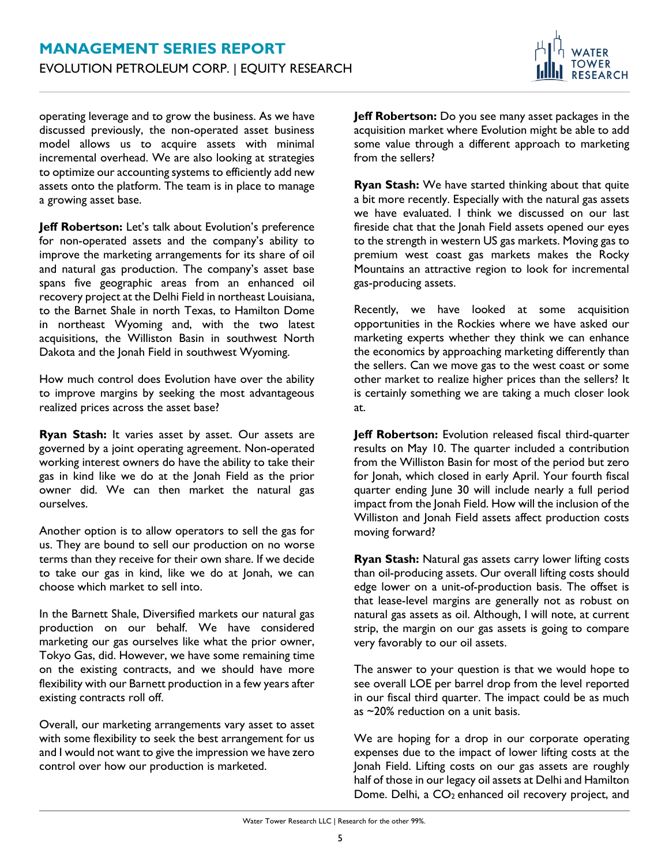

operating leverage and to grow the business. As we have discussed previously, the non-operated asset business model allows us to acquire assets with minimal incremental overhead. We are also looking at strategies to optimize our accounting systems to efficiently add new assets onto the platform. The team is in place to manage a growing asset base.

**Jeff Robertson:** Let's talk about Evolution's preference for non-operated assets and the company's ability to improve the marketing arrangements for its share of oil and natural gas production. The company's asset base spans five geographic areas from an enhanced oil recovery project at the Delhi Field in northeast Louisiana, to the Barnet Shale in north Texas, to Hamilton Dome in northeast Wyoming and, with the two latest acquisitions, the Williston Basin in southwest North Dakota and the Jonah Field in southwest Wyoming.

How much control does Evolution have over the ability to improve margins by seeking the most advantageous realized prices across the asset base?

**Ryan Stash:** It varies asset by asset. Our assets are governed by a joint operating agreement. Non-operated working interest owners do have the ability to take their gas in kind like we do at the Jonah Field as the prior owner did. We can then market the natural gas ourselves.

Another option is to allow operators to sell the gas for us. They are bound to sell our production on no worse terms than they receive for their own share. If we decide to take our gas in kind, like we do at Jonah, we can choose which market to sell into.

In the Barnett Shale, Diversified markets our natural gas production on our behalf. We have considered marketing our gas ourselves like what the prior owner, Tokyo Gas, did. However, we have some remaining time on the existing contracts, and we should have more flexibility with our Barnett production in a few years after existing contracts roll off.

Overall, our marketing arrangements vary asset to asset with some flexibility to seek the best arrangement for us and I would not want to give the impression we have zero control over how our production is marketed.

**Jeff Robertson:** Do you see many asset packages in the acquisition market where Evolution might be able to add some value through a different approach to marketing from the sellers?

**Ryan Stash:** We have started thinking about that quite a bit more recently. Especially with the natural gas assets we have evaluated. I think we discussed on our last fireside chat that the Jonah Field assets opened our eyes to the strength in western US gas markets. Moving gas to premium west coast gas markets makes the Rocky Mountains an attractive region to look for incremental gas-producing assets.

Recently, we have looked at some acquisition opportunities in the Rockies where we have asked our marketing experts whether they think we can enhance the economics by approaching marketing differently than the sellers. Can we move gas to the west coast or some other market to realize higher prices than the sellers? It is certainly something we are taking a much closer look at.

**Jeff Robertson:** Evolution released fiscal third-quarter results on May 10. The quarter included a contribution from the Williston Basin for most of the period but zero for Jonah, which closed in early April. Your fourth fiscal quarter ending June 30 will include nearly a full period impact from the Jonah Field. How will the inclusion of the Williston and Jonah Field assets affect production costs moving forward?

**Ryan Stash:** Natural gas assets carry lower lifting costs than oil-producing assets. Our overall lifting costs should edge lower on a unit-of-production basis. The offset is that lease-level margins are generally not as robust on natural gas assets as oil. Although, I will note, at current strip, the margin on our gas assets is going to compare very favorably to our oil assets.

The answer to your question is that we would hope to see overall LOE per barrel drop from the level reported in our fiscal third quarter. The impact could be as much as ~20% reduction on a unit basis.

We are hoping for a drop in our corporate operating expenses due to the impact of lower lifting costs at the Jonah Field. Lifting costs on our gas assets are roughly half of those in our legacy oil assets at Delhi and Hamilton Dome. Delhi, a  $CO<sub>2</sub>$  enhanced oil recovery project, and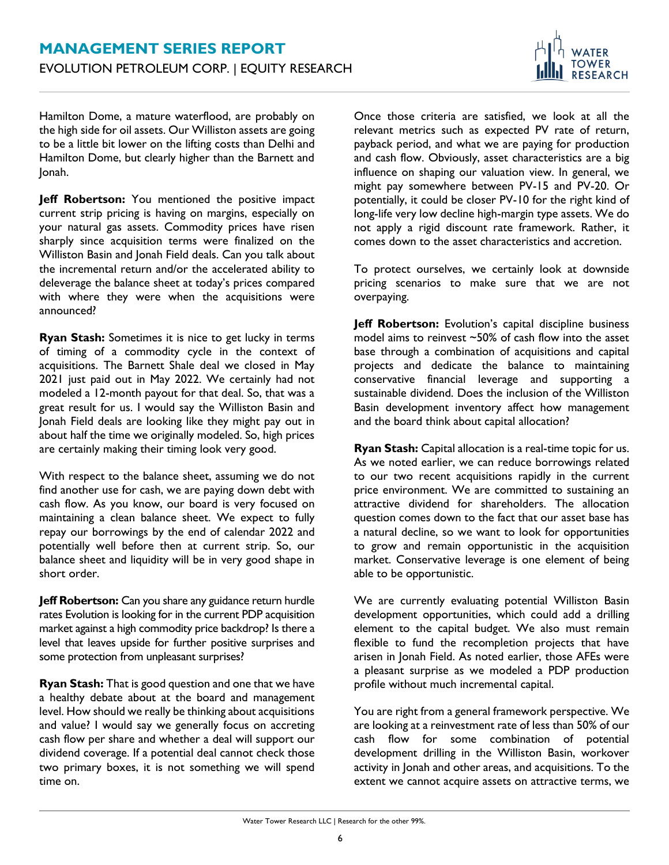

Hamilton Dome, a mature waterflood, are probably on the high side for oil assets. Our Williston assets are going to be a little bit lower on the lifting costs than Delhi and Hamilton Dome, but clearly higher than the Barnett and Jonah.

**Jeff Robertson:** You mentioned the positive impact current strip pricing is having on margins, especially on your natural gas assets. Commodity prices have risen sharply since acquisition terms were finalized on the Williston Basin and Jonah Field deals. Can you talk about the incremental return and/or the accelerated ability to deleverage the balance sheet at today's prices compared with where they were when the acquisitions were announced?

**Ryan Stash:** Sometimes it is nice to get lucky in terms of timing of a commodity cycle in the context of acquisitions. The Barnett Shale deal we closed in May 2021 just paid out in May 2022. We certainly had not modeled a 12-month payout for that deal. So, that was a great result for us. I would say the Williston Basin and Jonah Field deals are looking like they might pay out in about half the time we originally modeled. So, high prices are certainly making their timing look very good.

With respect to the balance sheet, assuming we do not find another use for cash, we are paying down debt with cash flow. As you know, our board is very focused on maintaining a clean balance sheet. We expect to fully repay our borrowings by the end of calendar 2022 and potentially well before then at current strip. So, our balance sheet and liquidity will be in very good shape in short order.

**Jeff Robertson:** Can you share any guidance return hurdle rates Evolution is looking for in the current PDP acquisition market against a high commodity price backdrop? Is there a level that leaves upside for further positive surprises and some protection from unpleasant surprises?

**Ryan Stash:** That is good question and one that we have a healthy debate about at the board and management level. How should we really be thinking about acquisitions and value? I would say we generally focus on accreting cash flow per share and whether a deal will support our dividend coverage. If a potential deal cannot check those two primary boxes, it is not something we will spend time on.

Once those criteria are satisfied, we look at all the relevant metrics such as expected PV rate of return, payback period, and what we are paying for production and cash flow. Obviously, asset characteristics are a big influence on shaping our valuation view. In general, we might pay somewhere between PV-15 and PV-20. Or potentially, it could be closer PV-10 for the right kind of long-life very low decline high-margin type assets. We do not apply a rigid discount rate framework. Rather, it comes down to the asset characteristics and accretion.

To protect ourselves, we certainly look at downside pricing scenarios to make sure that we are not overpaying.

**Jeff Robertson:** Evolution's capital discipline business model aims to reinvest ~50% of cash flow into the asset base through a combination of acquisitions and capital projects and dedicate the balance to maintaining conservative financial leverage and supporting a sustainable dividend. Does the inclusion of the Williston Basin development inventory affect how management and the board think about capital allocation?

**Ryan Stash:** Capital allocation is a real-time topic for us. As we noted earlier, we can reduce borrowings related to our two recent acquisitions rapidly in the current price environment. We are committed to sustaining an attractive dividend for shareholders. The allocation question comes down to the fact that our asset base has a natural decline, so we want to look for opportunities to grow and remain opportunistic in the acquisition market. Conservative leverage is one element of being able to be opportunistic.

We are currently evaluating potential Williston Basin development opportunities, which could add a drilling element to the capital budget. We also must remain flexible to fund the recompletion projects that have arisen in Jonah Field. As noted earlier, those AFEs were a pleasant surprise as we modeled a PDP production profile without much incremental capital.

You are right from a general framework perspective. We are looking at a reinvestment rate of less than 50% of our cash flow for some combination of potential development drilling in the Williston Basin, workover activity in Jonah and other areas, and acquisitions. To the extent we cannot acquire assets on attractive terms, we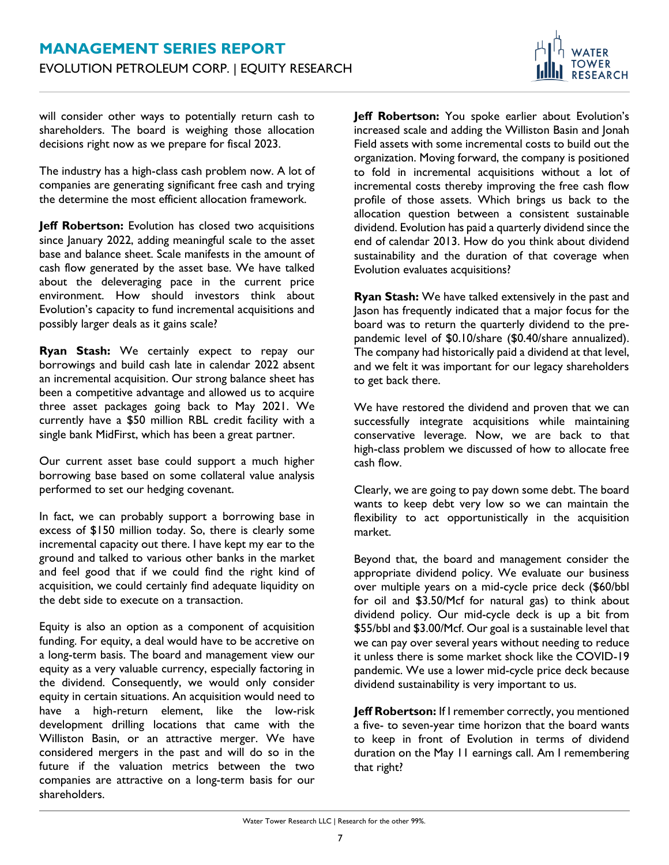

will consider other ways to potentially return cash to shareholders. The board is weighing those allocation decisions right now as we prepare for fiscal 2023.

The industry has a high-class cash problem now. A lot of companies are generating significant free cash and trying the determine the most efficient allocation framework.

**Jeff Robertson:** Evolution has closed two acquisitions since January 2022, adding meaningful scale to the asset base and balance sheet. Scale manifests in the amount of cash flow generated by the asset base. We have talked about the deleveraging pace in the current price environment. How should investors think about Evolution's capacity to fund incremental acquisitions and possibly larger deals as it gains scale?

**Ryan Stash:** We certainly expect to repay our borrowings and build cash late in calendar 2022 absent an incremental acquisition. Our strong balance sheet has been a competitive advantage and allowed us to acquire three asset packages going back to May 2021. We currently have a \$50 million RBL credit facility with a single bank MidFirst, which has been a great partner.

Our current asset base could support a much higher borrowing base based on some collateral value analysis performed to set our hedging covenant.

In fact, we can probably support a borrowing base in excess of \$150 million today. So, there is clearly some incremental capacity out there. I have kept my ear to the ground and talked to various other banks in the market and feel good that if we could find the right kind of acquisition, we could certainly find adequate liquidity on the debt side to execute on a transaction.

Equity is also an option as a component of acquisition funding. For equity, a deal would have to be accretive on a long-term basis. The board and management view our equity as a very valuable currency, especially factoring in the dividend. Consequently, we would only consider equity in certain situations. An acquisition would need to have a high-return element, like the low-risk development drilling locations that came with the Williston Basin, or an attractive merger. We have considered mergers in the past and will do so in the future if the valuation metrics between the two companies are attractive on a long-term basis for our shareholders.

**Jeff Robertson:** You spoke earlier about Evolution's increased scale and adding the Williston Basin and Jonah Field assets with some incremental costs to build out the organization. Moving forward, the company is positioned to fold in incremental acquisitions without a lot of incremental costs thereby improving the free cash flow profile of those assets. Which brings us back to the allocation question between a consistent sustainable dividend. Evolution has paid a quarterly dividend since the end of calendar 2013. How do you think about dividend sustainability and the duration of that coverage when Evolution evaluates acquisitions?

**Ryan Stash:** We have talked extensively in the past and Jason has frequently indicated that a major focus for the board was to return the quarterly dividend to the prepandemic level of \$0.10/share (\$0.40/share annualized). The company had historically paid a dividend at that level, and we felt it was important for our legacy shareholders to get back there.

We have restored the dividend and proven that we can successfully integrate acquisitions while maintaining conservative leverage. Now, we are back to that high-class problem we discussed of how to allocate free cash flow.

Clearly, we are going to pay down some debt. The board wants to keep debt very low so we can maintain the flexibility to act opportunistically in the acquisition market.

Beyond that, the board and management consider the appropriate dividend policy. We evaluate our business over multiple years on a mid-cycle price deck (\$60/bbl for oil and \$3.50/Mcf for natural gas) to think about dividend policy. Our mid-cycle deck is up a bit from \$55/bbl and \$3.00/Mcf. Our goal is a sustainable level that we can pay over several years without needing to reduce it unless there is some market shock like the COVID-19 pandemic. We use a lower mid-cycle price deck because dividend sustainability is very important to us.

**Jeff Robertson:** If I remember correctly, you mentioned a five- to seven-year time horizon that the board wants to keep in front of Evolution in terms of dividend duration on the May 11 earnings call. Am I remembering that right?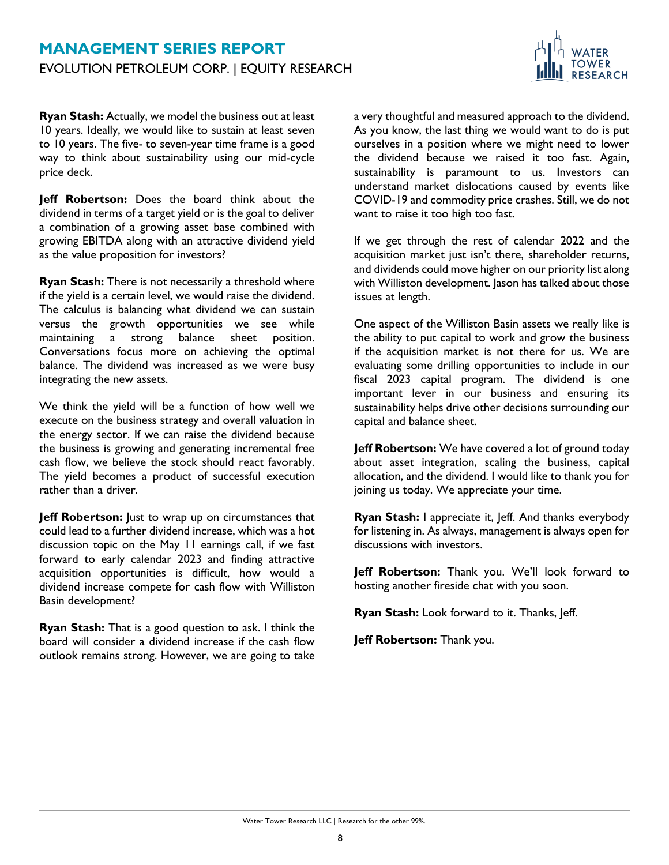

**Ryan Stash:** Actually, we model the business out at least 10 years. Ideally, we would like to sustain at least seven to 10 years. The five- to seven-year time frame is a good way to think about sustainability using our mid-cycle price deck.

**Jeff Robertson:** Does the board think about the dividend in terms of a target yield or is the goal to deliver a combination of a growing asset base combined with growing EBITDA along with an attractive dividend yield as the value proposition for investors?

**Ryan Stash:** There is not necessarily a threshold where if the yield is a certain level, we would raise the dividend. The calculus is balancing what dividend we can sustain versus the growth opportunities we see while maintaining a strong balance sheet position. Conversations focus more on achieving the optimal balance. The dividend was increased as we were busy integrating the new assets.

We think the yield will be a function of how well we execute on the business strategy and overall valuation in the energy sector. If we can raise the dividend because the business is growing and generating incremental free cash flow, we believe the stock should react favorably. The yield becomes a product of successful execution rather than a driver.

Jeff Robertson: Just to wrap up on circumstances that could lead to a further dividend increase, which was a hot discussion topic on the May 11 earnings call, if we fast forward to early calendar 2023 and finding attractive acquisition opportunities is difficult, how would a dividend increase compete for cash flow with Williston Basin development?

**Ryan Stash:** That is a good question to ask. I think the board will consider a dividend increase if the cash flow outlook remains strong. However, we are going to take a very thoughtful and measured approach to the dividend. As you know, the last thing we would want to do is put ourselves in a position where we might need to lower the dividend because we raised it too fast. Again, sustainability is paramount to us. Investors can understand market dislocations caused by events like COVID-19 and commodity price crashes. Still, we do not want to raise it too high too fast.

If we get through the rest of calendar 2022 and the acquisition market just isn't there, shareholder returns, and dividends could move higher on our priority list along with Williston development. Jason has talked about those issues at length.

One aspect of the Williston Basin assets we really like is the ability to put capital to work and grow the business if the acquisition market is not there for us. We are evaluating some drilling opportunities to include in our fiscal 2023 capital program. The dividend is one important lever in our business and ensuring its sustainability helps drive other decisions surrounding our capital and balance sheet.

**Jeff Robertson:** We have covered a lot of ground today about asset integration, scaling the business, capital allocation, and the dividend. I would like to thank you for joining us today. We appreciate your time.

**Ryan Stash:** I appreciate it, Jeff. And thanks everybody for listening in. As always, management is always open for discussions with investors.

**Jeff Robertson:** Thank you. We'll look forward to hosting another fireside chat with you soon.

**Ryan Stash:** Look forward to it. Thanks, Jeff.

**Jeff Robertson:** Thank you.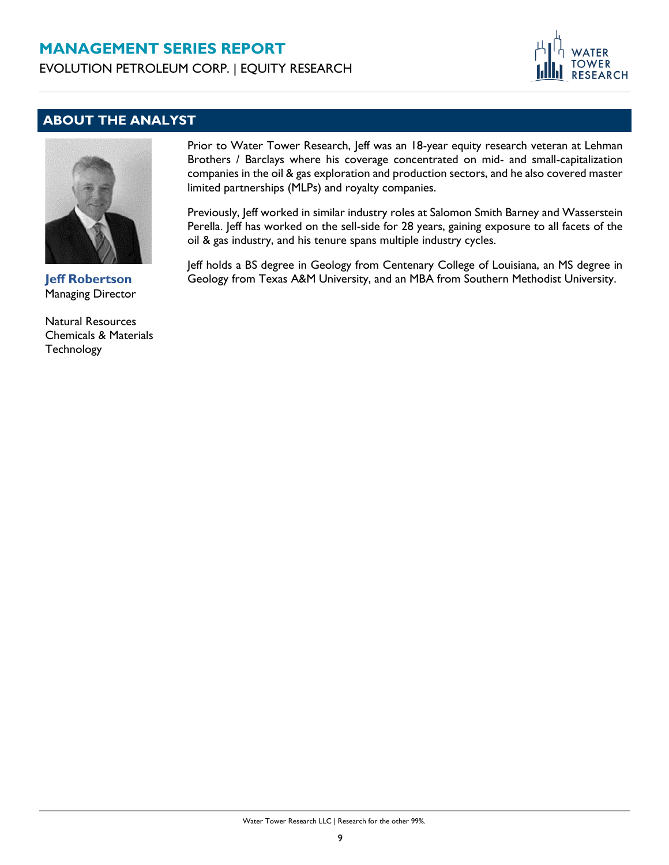# **MANAGEMENT SERIES REPORT**

EVOLUTION PETROLEUM CORP. | EQUITY RESEARCH



## **ABOUT THE ANALYST**



**Jeff Robertson** Managing Director

Natural Resources Chemicals & Materials **Technology** 

Prior to Water Tower Research, Jeff was an 18-year equity research veteran at Lehman Brothers / Barclays where his coverage concentrated on mid- and small-capitalization companies in the oil & gas exploration and production sectors, and he also covered master limited partnerships (MLPs) and royalty companies.

Previously, Jeff worked in similar industry roles at Salomon Smith Barney and Wasserstein Perella. Jeff has worked on the sell-side for 28 years, gaining exposure to all facets of the oil & gas industry, and his tenure spans multiple industry cycles.

Jeff holds a BS degree in Geology from Centenary College of Louisiana, an MS degree in Geology from Texas A&M University, and an MBA from Southern Methodist University.